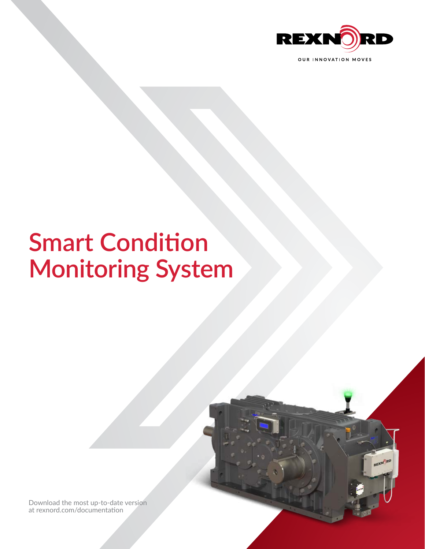

# **Smart Condition Monitoring System**

[Download the most up-to-date version](http://www.rexnord.com/documentation)  [at rexnord.com/documentation](http://www.rexnord.com/documentation)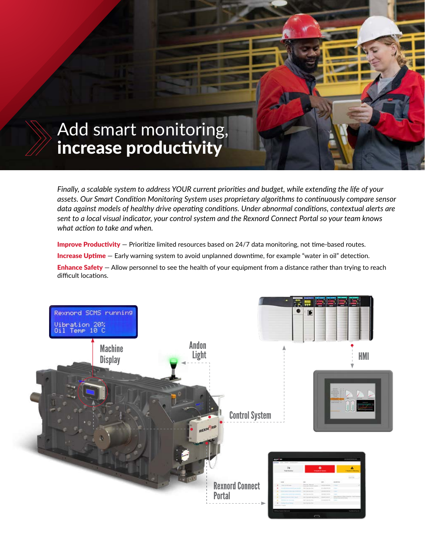## Add smart monitoring, increase productivity

*Finally, a scalable system to address YOUR current priorities and budget, while extending the life of your assets. Our Smart Condition Monitoring System uses proprietary algorithms to continuously compare sensor data against models of healthy drive operating conditions. Under abnormal conditions, contextual alerts are sent to a local visual indicator, your control system and the Rexnord Connect Portal so your team knows what action to take and when.*

Improve Productivity - Prioritize limited resources based on 24/7 data monitoring, not time-based routes. Increase Uptime — Early warning system to avoid unplanned downtime, for example "water in oil" detection. **Enhance Safety** — Allow personnel to see the health of your equipment from a distance rather than trying to reach difficult locations.

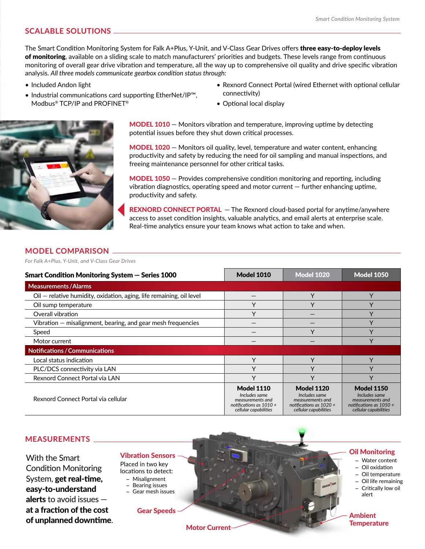• Rexnord Connect Portal (wired Ethernet with optional cellular

#### **SCALABLE SOLUTIONS**

The Smart Condition Monitoring System for Falk A+Plus, Y-Unit, and V-Class Gear Drives offers three easy-to-deploy levels of monitoring, available on a sliding scale to match manufacturers' priorities and budgets. These levels range from continuous monitoring of overall gear drive vibration and temperature, all the way up to comprehensive oil quality and drive specific vibration analysis. *All three models communicate gearbox condition status through:*

- Included Andon light
- Industrial communications card supporting EtherNet/IP™, Modbus® TCP/IP and PROFINET®



MODEL 1010 — Monitors vibration and temperature, improving uptime by detecting potential issues before they shut down critical processes.

• Optional local display

connectivity)

MODEL 1020 — Monitors oil quality, level, temperature and water content, enhancing productivity and safety by reducing the need for oil sampling and manual inspections, and freeing maintenance personnel for other critical tasks.

MODEL 1050 — Provides comprehensive condition monitoring and reporting, including vibration diagnostics, operating speed and motor current — further enhancing uptime, productivity and safety.

REXNORD CONNECT PORTAL — The Rexnord cloud-based portal for anytime/anywhere access to asset condition insights, valuable analytics, and email alerts at enterprise scale. Real-time analytics ensure your team knows what action to take and when.

#### **MODEL COMPARISON**

*For Falk A+Plus, Y-Unit, and V-Class Gear Drives*

| <b>Smart Condition Monitoring System - Series 1000</b>               | <b>Model 1010</b>                                                                                            | <b>Model 1020</b>                                                                                            | <b>Model 1050</b>                                                                                            |  |
|----------------------------------------------------------------------|--------------------------------------------------------------------------------------------------------------|--------------------------------------------------------------------------------------------------------------|--------------------------------------------------------------------------------------------------------------|--|
| <b>Measurements/Alarms</b>                                           |                                                                                                              |                                                                                                              |                                                                                                              |  |
| Oil - relative humidity, oxidation, aging, life remaining, oil level |                                                                                                              | $\checkmark$                                                                                                 | $\checkmark$                                                                                                 |  |
| Oil sump temperature                                                 | ν                                                                                                            | $\checkmark$                                                                                                 | $\sqrt{}$                                                                                                    |  |
| Overall vibration                                                    | $\checkmark$                                                                                                 |                                                                                                              | $\checkmark$                                                                                                 |  |
| $V$ ibration $-$ misalignment, bearing, and gear mesh frequencies    |                                                                                                              |                                                                                                              | $\checkmark$                                                                                                 |  |
| Speed                                                                |                                                                                                              | $\vee$                                                                                                       | $\vee$                                                                                                       |  |
| Motor current                                                        |                                                                                                              |                                                                                                              |                                                                                                              |  |
| <b>Notifications / Communications</b>                                |                                                                                                              |                                                                                                              |                                                                                                              |  |
| Local status indication                                              | $\checkmark$                                                                                                 | $\vee$                                                                                                       | $\checkmark$                                                                                                 |  |
| PLC/DCS connectivity via LAN                                         |                                                                                                              |                                                                                                              |                                                                                                              |  |
| Rexnord Connect Portal via LAN                                       | $\checkmark$                                                                                                 | $\checkmark$                                                                                                 | $\vee$                                                                                                       |  |
| Rexnord Connect Portal via cellular                                  | <b>Model 1110</b><br>Includes same<br>measurements and<br>notifications as $1010 +$<br>cellular capabilities | <b>Model 1120</b><br>Includes same<br>measurements and<br>notifications as $1020 +$<br>cellular capabilities | <b>Model 1150</b><br>Includes same<br>measurements and<br>notifications as $1050 +$<br>cellular capabilities |  |

#### **MEASUREMENTS**

With the Smart Condition Monitoring System, get real-time, easy-to-understand alerts to avoid issues at a fraction of the cost of unplanned downtime.

Vibration Sensors Placed in two key locations to detect: – Misalignment

- Bearing issues
- Gear mesh issues